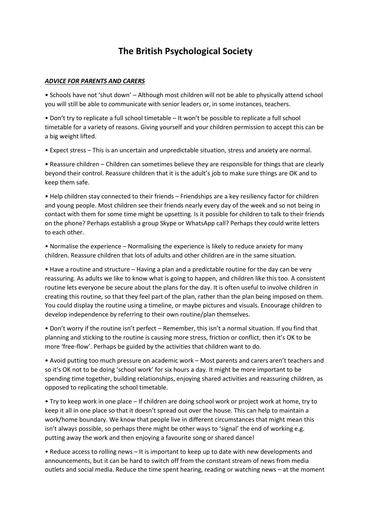## **The British Psychological Society**

## *ADVICE FOR PARENTS AND CARERS*

• Schools have not 'shut down' – Although most children will not be able to physically attend school you will still be able to communicate with senior leaders or, in some instances, teachers.

• Don't try to replicate a full school timetable – It won't be possible to replicate a full school timetable for a variety of reasons. Giving yourself and your children permission to accept this can be a big weight lifted.

• Expect stress – This is an uncertain and unpredictable situation, stress and anxiety are normal.

• Reassure children – Children can sometimes believe they are responsible for things that are clearly beyond their control. Reassure children that it is the adult's job to make sure things are OK and to keep them safe.

• Help children stay connected to their friends – Friendships are a key resiliency factor for children and young people. Most children see their friends nearly every day of the week and so not being in contact with them for some time might be upsetting. Is it possible for children to talk to their friends on the phone? Perhaps establish a group Skype or WhatsApp call? Perhaps they could write letters to each other.

• Normalise the experience – Normalising the experience is likely to reduce anxiety for many children. Reassure children that lots of adults and other children are in the same situation.

• Have a routine and structure – Having a plan and a predictable routine for the day can be very reassuring. As adults we like to know what is going to happen, and children like this too. A consistent routine lets everyone be secure about the plans for the day. It is often useful to involve children in creating this routine, so that they feel part of the plan, rather than the plan being imposed on them. You could display the routine using a timeline, or maybe pictures and visuals. Encourage children to develop independence by referring to their own routine/plan themselves.

• Don't worry if the routine isn't perfect – Remember, this isn't a normal situation. If you find that planning and sticking to the routine is causing more stress, friction or conflict, then it's OK to be more 'free-flow'. Perhaps be guided by the activities that children want to do.

• Avoid putting too much pressure on academic work – Most parents and carers aren't teachers and so it's OK not to be doing 'school work' for six hours a day. It might be more important to be spending time together, building relationships, enjoying shared activities and reassuring children, as opposed to replicating the school timetable.

• Try to keep work in one place – If children are doing school work or project work at home, try to keep it all in one place so that it doesn't spread out over the house. This can help to maintain a work/home boundary. We know that people live in different circumstances that might mean this isn't always possible, so perhaps there might be other ways to 'signal' the end of working e.g. putting away the work and then enjoying a favourite song or shared dance!

• Reduce access to rolling news – It is important to keep up to date with new developments and announcements, but it can be hard to switch off from the constant stream of news from media outlets and social media. Reduce the time spent hearing, reading or watching news – at the moment